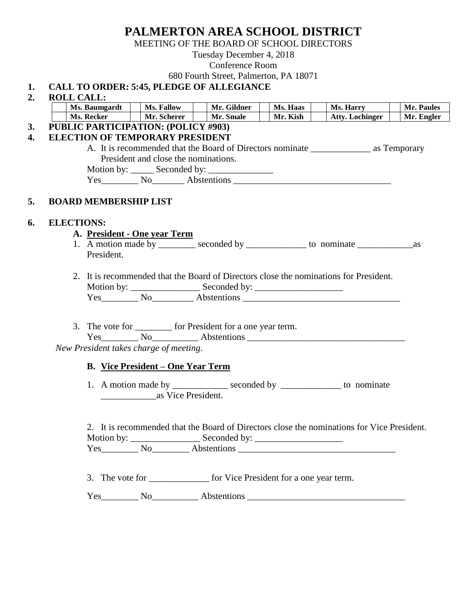# **PALMERTON AREA SCHOOL DISTRICT**

MEETING OF THE BOARD OF SCHOOL DIRECTORS

Tuesday December 4, 2018

## Conference Room

680 Fourth Street, Palmerton, PA 18071

## **1. CALL TO ORDER: 5:45, PLEDGE OF ALLEGIANCE**

### **2. ROLL CALL:**

|                                                                                    | Ms. Baumgardt                        | Ms. Fallow | Mr. Gildner                                                              | Ms. Haas | Ms. Harry                                                                                  | Mr. Paules |
|------------------------------------------------------------------------------------|--------------------------------------|------------|--------------------------------------------------------------------------|----------|--------------------------------------------------------------------------------------------|------------|
| Ms. Recker<br>$\sim$ 1 1                                                           | Mr. Scherer                          |            | Mr. Smale                                                                | Mr. Kish | <b>Atty. Lochinger</b>                                                                     | Mr. Engler |
| PUBLIC PARTICIPATION: (POLICY #903)                                                |                                      |            |                                                                          |          |                                                                                            |            |
| <b>ELECTION OF TEMPORARY PRESIDENT</b>                                             |                                      |            |                                                                          |          |                                                                                            |            |
|                                                                                    |                                      |            |                                                                          |          |                                                                                            |            |
|                                                                                    | President and close the nominations. |            |                                                                          |          |                                                                                            |            |
|                                                                                    |                                      |            | Motion by: ______ Seconded by: ______________                            |          |                                                                                            |            |
|                                                                                    |                                      |            |                                                                          |          | Yes No Abstentions Communications No.                                                      |            |
| <b>BOARD MEMBERSHIP LIST</b>                                                       |                                      |            |                                                                          |          |                                                                                            |            |
| <b>ELECTIONS:</b>                                                                  |                                      |            |                                                                          |          |                                                                                            |            |
| A. President - One year Term                                                       |                                      |            |                                                                          |          |                                                                                            |            |
|                                                                                    |                                      |            |                                                                          |          |                                                                                            |            |
| President.                                                                         |                                      |            |                                                                          |          |                                                                                            |            |
|                                                                                    |                                      |            |                                                                          |          |                                                                                            |            |
|                                                                                    |                                      |            |                                                                          |          | 2. It is recommended that the Board of Directors close the nominations for President.      |            |
|                                                                                    |                                      |            |                                                                          |          |                                                                                            |            |
|                                                                                    |                                      |            |                                                                          |          |                                                                                            |            |
|                                                                                    |                                      |            |                                                                          |          |                                                                                            |            |
|                                                                                    |                                      |            | 3. The vote for __________ for President for a one year term.            |          |                                                                                            |            |
| New President takes charge of meeting.<br><b>B.</b> Vice President – One Year Term |                                      |            |                                                                          |          |                                                                                            |            |
|                                                                                    |                                      |            |                                                                          |          |                                                                                            |            |
|                                                                                    |                                      |            |                                                                          |          | 1. A motion made by ______________ seconded by ______________ to nominate                  |            |
|                                                                                    | as Vice President.                   |            |                                                                          |          |                                                                                            |            |
|                                                                                    |                                      |            |                                                                          |          |                                                                                            |            |
|                                                                                    |                                      |            |                                                                          |          | 2. It is recommended that the Board of Directors close the nominations for Vice President. |            |
|                                                                                    |                                      |            |                                                                          |          |                                                                                            |            |
|                                                                                    |                                      |            |                                                                          |          |                                                                                            |            |
|                                                                                    |                                      |            | 3. The vote for ________________ for Vice President for a one year term. |          |                                                                                            |            |
|                                                                                    |                                      |            |                                                                          |          |                                                                                            |            |